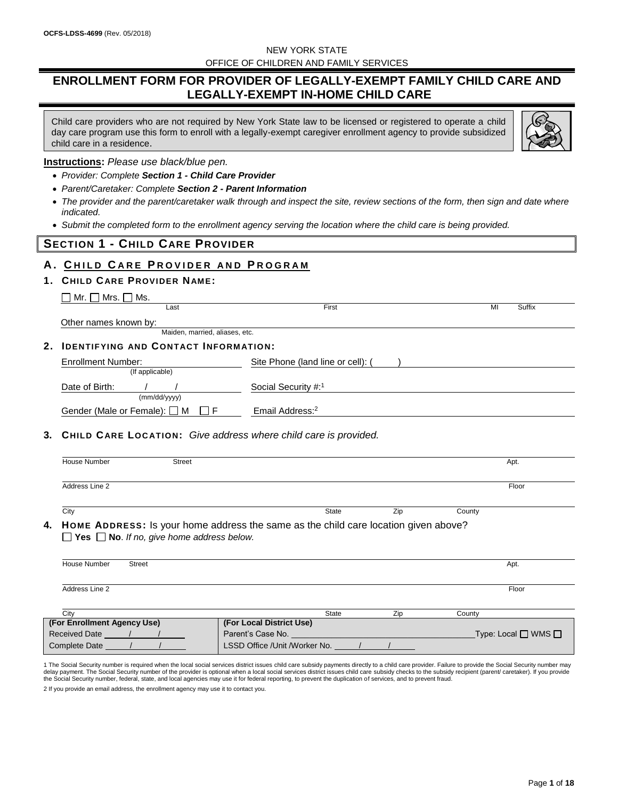# NEW YORK STATE OFFICE OF CHILDREN AND FAMILY SERVICES

# **ENROLLMENT FORM FOR PROVIDER OF LEGALLY-EXEMPT FAMILY CHILD CARE AND LEGALLY-EXEMPT IN-HOME CHILD CARE**

Child care providers who are not required by New York State law to be licensed or registered to operate a child day care program use this form to enroll with a legally-exempt caregiver enrollment agency to provide subsidized child care in a residence.



#### **Instructions:** *Please use black/blue pen.*

- *Provider: Complete Section 1 - Child Care Provider*
- *Parent/Caretaker: Complete Section 2 - Parent Information*
- *The provider and the parent/caretaker walk through and inspect the site, review sections of the form, then sign and date where indicated.*
- *Submit the completed form to the enrollment agency serving the location where the child care is being provided.*

# **SECTION 1 - CHILD CARE PROVIDER**

# **A . C H I L D C A R E P R O V I D E R A N D P R O G R A M**

# **1. CHILD CARE PROVIDER NAME:**

| Mr. L<br>Mrs.<br>` Ms. |                                |       |    |        |
|------------------------|--------------------------------|-------|----|--------|
|                        | Last                           | First | MI | Suffix |
| Other names known by:  |                                |       |    |        |
|                        | Maiden, married, aliases, etc. |       |    |        |

## **2. IDENTIFYING AND CONTACT INFORM ATION:**

| Enrollment Number:                | Site Phone (land line or cell): ( |
|-----------------------------------|-----------------------------------|
| (If applicable)                   |                                   |
| Date of Birth:                    | Social Security #: <sup>1</sup>   |
| (mm/dd/yyyy)                      |                                   |
| Gender (Male or Female): $\Box$ M | Email Address: <sup>2</sup>       |

## **3. CHILD CARE LOC ATION:** *Give address where child care is provided.*

| House Number                                                                                                                                    | Street |       |     |        | Apt.  |
|-------------------------------------------------------------------------------------------------------------------------------------------------|--------|-------|-----|--------|-------|
| Address Line 2                                                                                                                                  |        |       |     |        | Floor |
| City                                                                                                                                            |        | State | Zip | County |       |
| 4. HOME ADDRESS: Is your home address the same as the child care location given above?<br>$\Box$ Yes $\Box$ No. If no, give home address below. |        |       |     |        |       |

| House Number<br><b>Street</b> |                               |     | Apt.                                |
|-------------------------------|-------------------------------|-----|-------------------------------------|
| Address Line 2                |                               |     | Floor                               |
| City                          | <b>State</b>                  | Zip | County                              |
| (For Enrollment Agency Use)   | (For Local District Use)      |     |                                     |
| <b>Received Date</b>          | Parent's Case No.             |     | Type: Local $\square$ WMS $\square$ |
| Complete Date                 | LSSD Office /Unit /Worker No. |     |                                     |

1 The Social Security number is required when the local social services district issues child care subsidy payments directly to a child care provider. Failure to provide the Social Security number may delay payment. The Social Security number of the provider is optional when a local social services district issues child care subsidy checks to the subsidy recipient (parent/ caretaker). If you provide<br>the Social Security

2 If you provide an email address, the enrollment agency may use it to contact you.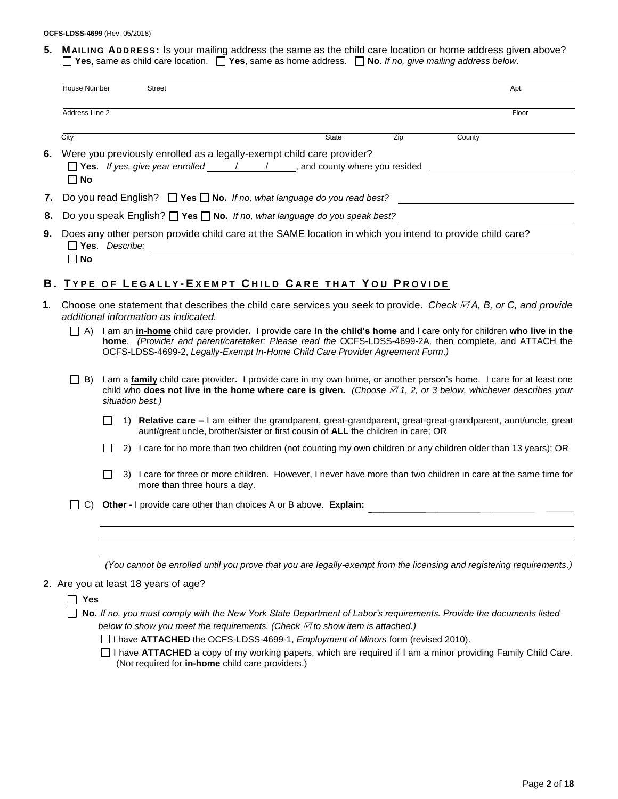#### **OCFS-LDSS-4699** (Rev. 05/2018)

**5. MAILING ADDRESS:** Is your mailing address the same as the child care location or home address given above? **Yes**, same as child care location. **Yes**, same as home address. **No**. *If no, give mailing address below*.

| House Number   | <b>Street</b>                                                                                                                                                     |       |     | Apt.                                                                                                               |
|----------------|-------------------------------------------------------------------------------------------------------------------------------------------------------------------|-------|-----|--------------------------------------------------------------------------------------------------------------------|
| Address Line 2 |                                                                                                                                                                   |       |     | Floor                                                                                                              |
| City           |                                                                                                                                                                   | State | Zip | County                                                                                                             |
| ∏ No           | 6. Were you previously enrolled as a legally-exempt child care provider?<br>$\Box$ Yes. If yes, give year enrolled $\Box$ / $\Box$ , and county where you resided |       |     |                                                                                                                    |
|                | 7. Do you read English? $\Box$ Yes $\Box$ No. If no, what language do you read best?                                                                              |       |     |                                                                                                                    |
|                | <b>8.</b> Do you speak English? $\Box$ Yes $\Box$ No. If no, what language do you speak best?                                                                     |       |     |                                                                                                                    |
|                | $\Box$ Yes. Describe:                                                                                                                                             |       |     | <b>9.</b> Does any other person provide child care at the SAME location in which you intend to provide child care? |

- **1**. Choose one statement that describes the child care services you seek to provide. *Check A, B, or C, and provide additional information as indicated.*
	- A) I am an **in-home** child care provider**.** I provide care **in the child's home** and l care only for children **who live in the home**. *(Provider and parent/caretaker: Please read the* OCFS-LDSS-4699-2A*,* then complete*,* and ATTACH the OCFS-LDSS-4699-2, *Legally-Exempt In-Home Child Care Provider Agreement Form*.*)*
	- B) I am a **family** child care provider**.** I provide care in my own home, or another person's home. I care for at least one child who **does not live in the home where care is given.** *(Choose 1, 2, or 3 below, whichever describes your situation best.)*
		- 1) **Relative care –** I am either the grandparent, great-grandparent, great-great-grandparent, aunt/uncle, great  $\Box$ aunt/great uncle, brother/sister or first cousin of **ALL** the children in care; OR
		- $\Box$  2) I care for no more than two children (not counting my own children or any children older than 13 years); OR
		- $\Box$  3) I care for three or more children. However, I never have more than two children in care at the same time for more than three hours a day.
	- C) **Other -** I provide care other than choices A or B above. **Explain:**

*(You cannot be enrolled until you prove that you are legally-exempt from the licensing and registering requirements.)*

# **2**. Are you at least 18 years of age?

**Yes**

- **No.** *If no, you must comply with the New York State Department of Labor's requirements. Provide the documents listed below to show you meet the requirements. (Check ⊠ to show item is attached.)* 
	- I have **ATTACHED** the OCFS-LDSS-4699-1, *Employment of Minors* form (revised 2010).

I have **ATTACHED** a copy of my working papers, which are required if I am a minor providing Family Child Care. (Not required for **in-home** child care providers.)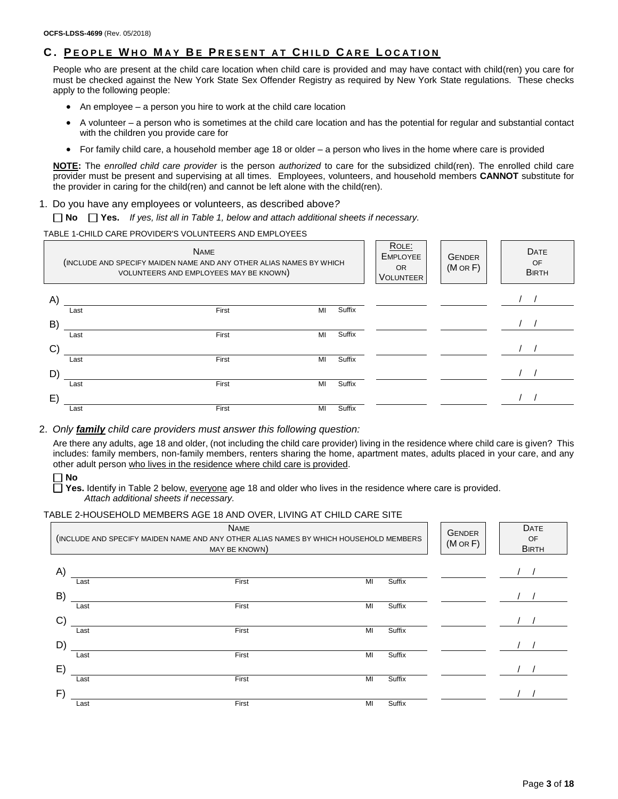# **C.** PEOPLE WHO MAY BE PRESENT AT CHILD CARE LOCATION

People who are present at the child care location when child care is provided and may have contact with child(ren) you care for must be checked against the New York State Sex Offender Registry as required by New York State regulations. These checks apply to the following people:

- An employee a person you hire to work at the child care location
- A volunteer a person who is sometimes at the child care location and has the potential for regular and substantial contact with the children you provide care for
- For family child care, a household member age 18 or older a person who lives in the home where care is provided

**NOTE:** The *enrolled child care provider* is the person *authorized* to care for the subsidized child(ren). The enrolled child care provider must be present and supervising at all times. Employees, volunteers, and household members **CANNOT** substitute for the provider in caring for the child(ren) and cannot be left alone with the child(ren).

#### 1. Do you have any employees or volunteers, as described above*?*

**No****Yes.** *If yes, list all in Table 1, below and attach additional sheets if necessary.*

#### TABLE 1-CHILD CARE PROVIDER'S VOLUNTEERS AND EMPLOYEES

|               | <b>NAME</b><br>INCLUDE AND SPECIFY MAIDEN NAME AND ANY OTHER ALIAS NAMES BY WHICH<br>VOLUNTEERS AND EMPLOYEES MAY BE KNOWN) | ROLE:<br><b>DATE</b><br><b>EMPLOYEE</b><br><b>GENDER</b><br>OF<br>$(M \circ R)$<br><b>OR</b><br><b>BIRTH</b><br><b>VOLUNTEER</b> |
|---------------|-----------------------------------------------------------------------------------------------------------------------------|----------------------------------------------------------------------------------------------------------------------------------|
| $\mathsf{A}$  |                                                                                                                             |                                                                                                                                  |
|               | First<br>MI<br>Last                                                                                                         | Suffix                                                                                                                           |
| B)            |                                                                                                                             |                                                                                                                                  |
|               | First<br>MI<br>Last                                                                                                         | Suffix                                                                                                                           |
| $\mathcal{C}$ |                                                                                                                             |                                                                                                                                  |
|               | First<br>MI<br>Last                                                                                                         | Suffix                                                                                                                           |
| D)            |                                                                                                                             |                                                                                                                                  |
|               | First<br>MI<br>Last                                                                                                         | Suffix                                                                                                                           |
| E)            |                                                                                                                             |                                                                                                                                  |
|               | First<br>MI<br>Last                                                                                                         | Suffix                                                                                                                           |

#### 2. *Only family child care providers must answer this following question:*

Are there any adults, age 18 and older, (not including the child care provider) living in the residence where child care is given? This includes: family members, non-family members, renters sharing the home, apartment mates, adults placed in your care, and any other adult person who lives in the residence where child care is provided.

**Yes.** Identify in Table 2 below, everyone age 18 and older who lives in the residence where care is provided. *Attach additional sheets if necessary.*

#### TABLE 2-HOUSEHOLD MEMBERS AGE 18 AND OVER, LIVING AT CHILD CARE SITE

|               | (INCLUDE AND SPECIFY MAIDEN NAME AND ANY OTHER ALIAS NAMES BY WHICH HOUSEHOLD MEMBERS | <b>GENDER</b><br>$(M \circ R)$ | <b>DATE</b><br>OF<br><b>BIRTH</b> |        |  |  |
|---------------|---------------------------------------------------------------------------------------|--------------------------------|-----------------------------------|--------|--|--|
| A)            |                                                                                       |                                |                                   |        |  |  |
|               | Last                                                                                  | First                          | MI                                | Suffix |  |  |
| B)            |                                                                                       |                                |                                   |        |  |  |
|               | Last                                                                                  | First                          | MI                                | Suffix |  |  |
| $\mathcal{C}$ |                                                                                       |                                |                                   |        |  |  |
|               | Last                                                                                  | First                          | MI                                | Suffix |  |  |
| D)            |                                                                                       |                                |                                   |        |  |  |
|               | Last                                                                                  | First                          | MI                                | Suffix |  |  |
| E)            |                                                                                       |                                |                                   |        |  |  |
|               | Last                                                                                  | First                          | MI                                | Suffix |  |  |
| F)            |                                                                                       |                                |                                   |        |  |  |
|               | Last                                                                                  | First                          | MI                                | Suffix |  |  |

 $\Box$  No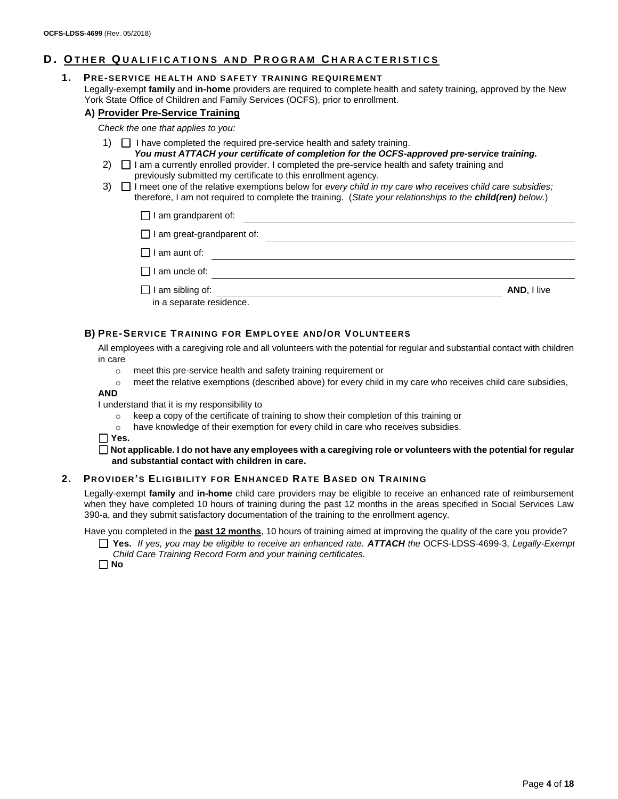# **D . O T H E R Q U A L I F I C A T I O N S A N D P R O G R A M C H A R A C T E R I S T I C S**

#### **PRE-SERVICE HEALTH AND SAFETY TRAINING REQUIREMENT**

Legally-exempt **family** and **in-home** providers are required to complete health and safety training, approved by the New York State Office of Children and Family Services (OCFS), prior to enrollment.

## **A) Provider Pre-Service Training**

*Check the one that applies to you:*

- 1)  $\Box$  I have completed the required pre-service health and safety training. *You must ATTACH your certificate of completion for the OCFS-approved pre-service training.*
- $2)$  I am a currently enrolled provider. I completed the pre-service health and safety training and previously submitted my certificate to this enrollment agency.

#### 3) I meet one of the relative exemptions below for *every child in my care who receives child care subsidies;* therefore, I am not required to complete the training. (*State your relationships to the child(ren) below.*)

| $\Box$ I am grandparent of:       |             |
|-----------------------------------|-------------|
| $\Box$ I am great-grandparent of: |             |
| $\Box$ I am aunt of:              |             |
| $\Box$ I am uncle of:             |             |
| $\Box$ I am sibling of:           | AND, I live |
| in a separate residence.          |             |

# **B) PRE-SERVICE TR AI NING FOR EMPLOYEE AND/OR VOLUNTEERS**

All employees with a caregiving role and all volunteers with the potential for regular and substantial contact with children in care

- o meet this pre-service health and safety training requirement or
- o meet the relative exemptions (described above) for every child in my care who receives child care subsidies,

#### **AND**

I understand that it is my responsibility to

- o keep a copy of the certificate of training to show their completion of this training or
- o have knowledge of their exemption for every child in care who receives subsidies.

**Yes.** 

**Not applicable. I do not have any employees with a caregiving role or volunteers with the potential for regular and substantial contact with children in care.**

## **2. PROVIDER'S ELIGI BILITY FOR ENH ANCED RATE BASED ON TR AINING**

Legally-exempt **family** and **in-home** child care providers may be eligible to receive an enhanced rate of reimbursement when they have completed 10 hours of training during the past 12 months in the areas specified in Social Services Law 390-a, and they submit satisfactory documentation of the training to the enrollment agency.

Have you completed in the **past 12 months**, 10 hours of training aimed at improving the quality of the care you provide?

**Yes.** *If yes, you may be eligible to receive an enhanced rate. ATTACH the* OCFS-LDSS-4699-3, *Legally-Exempt Child Care Training Record Form and your training certificates.*

**No**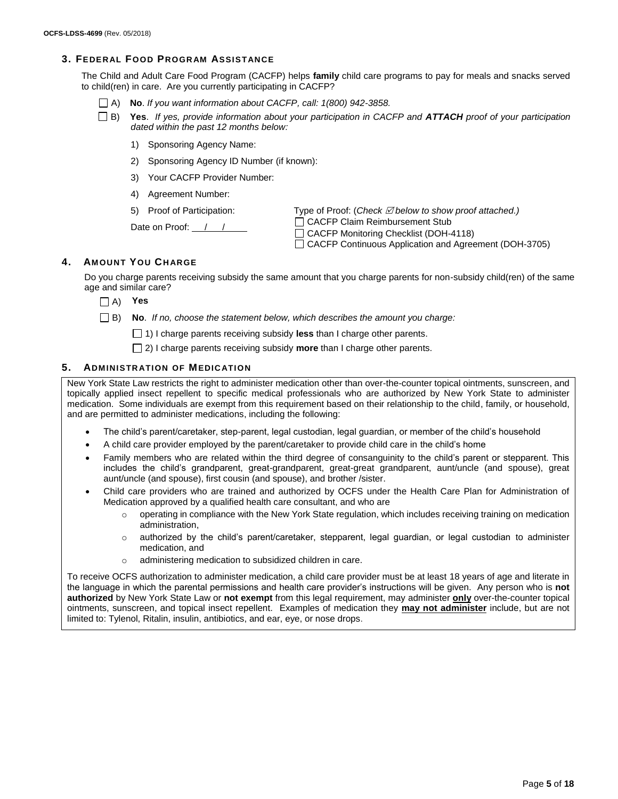# **3. FEDER AL FOOD PROGR AM ASSISTANCE**

The Child and Adult Care Food Program (CACFP) helps **family** child care programs to pay for meals and snacks served to child(ren) in care. Are you currently participating in CACFP?

- A) **No**. *If you want information about CACFP, call: 1(800) 942-3858.*
- B) **Yes**. *If yes, provide information about your participation in CACFP and ATTACH proof of your participation dated within the past 12 months below:*
	- 1) Sponsoring Agency Name:
	- 2) Sponsoring Agency ID Number (if known):
	- 3) Your CACFP Provider Number:
	- 4) Agreement Number:
	-

5) Proof of Participation: Type of Proof: (*Check below to show proof attached.)* Date on Proof: / / Date on Proof: / / Date on Proof: / / CACFP Claim Reimbursement Stub CACFP Monitoring Checklist (DOH-4118) CACFP Continuous Application and Agreement (DOH-3705)

## **4. AM OUNT YOU CH ARGE**

Do you charge parents receiving subsidy the same amount that you charge parents for non-subsidy child(ren) of the same age and similar care?

- A) **Yes**
- B) **No**. *If no, choose the statement below, which describes the amount you charge:*

1) I charge parents receiving subsidy **less** than I charge other parents.

2) I charge parents receiving subsidy **more** than I charge other parents.

## **5. ADMINISTR ATION OF MEDIC ATION**

New York State Law restricts the right to administer medication other than over-the-counter topical ointments, sunscreen, and topically applied insect repellent to specific medical professionals who are authorized by New York State to administer medication. Some individuals are exempt from this requirement based on their relationship to the child, family, or household, and are permitted to administer medications, including the following:

- The child's parent/caretaker, step-parent, legal custodian, legal guardian, or member of the child's household
- A child care provider employed by the parent/caretaker to provide child care in the child's home
- Family members who are related within the third degree of consanguinity to the child's parent or stepparent. This includes the child's grandparent, great-grandparent, great-great grandparent, aunt/uncle (and spouse), great aunt/uncle (and spouse), first cousin (and spouse), and brother /sister.
- Child care providers who are trained and authorized by OCFS under the Health Care Plan for Administration of Medication approved by a qualified health care consultant, and who are
	- $\circ$  operating in compliance with the New York State regulation, which includes receiving training on medication administration,
	- o authorized by the child's parent/caretaker, stepparent, legal guardian, or legal custodian to administer medication, and
	- o administering medication to subsidized children in care.

To receive OCFS authorization to administer medication, a child care provider must be at least 18 years of age and literate in the language in which the parental permissions and health care provider's instructions will be given. Any person who is **not authorized** by New York State Law or **not exempt** from this legal requirement, may administer **only** over-the-counter topical ointments, sunscreen, and topical insect repellent. Examples of medication they **may not administer** include, but are not limited to: Tylenol, Ritalin, insulin, antibiotics, and ear, eye, or nose drops.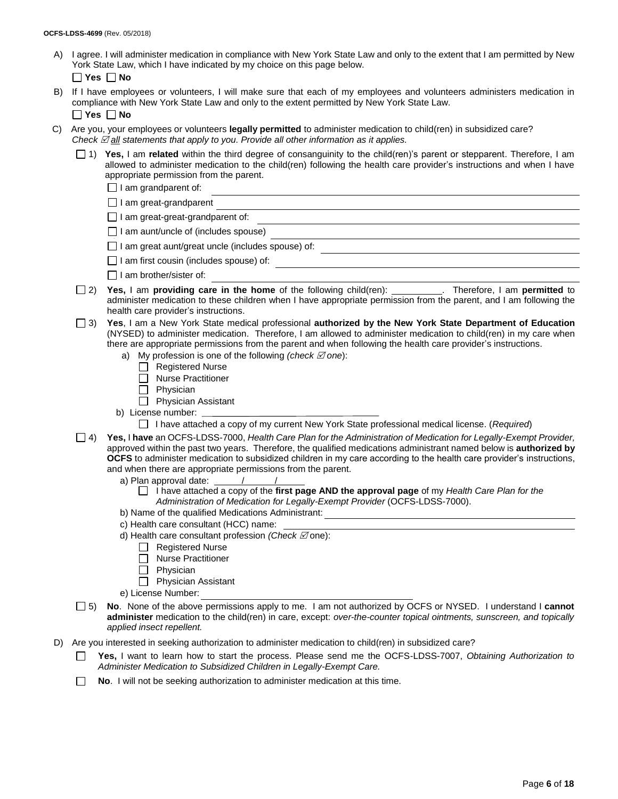- A) I agree. I will administer medication in compliance with New York State Law and only to the extent that I am permitted by New York State Law, which I have indicated by my choice on this page below. **Yes No**
- B) If I have employees or volunteers, I will make sure that each of my employees and volunteers administers medication in compliance with New York State Law and only to the extent permitted by New York State Law. **Yes No**
- C) Are you, your employees or volunteers **legally permitted** to administer medication to child(ren) in subsidized care? Check *්* **all** $statements that apply to you. Provide all other information as it applies.$ 
	- □ 1) **Yes,** I am **related** within the third degree of consanguinity to the child(ren)'s parent or stepparent. Therefore, I am allowed to administer medication to the child(ren) following the health care provider's instructions and when I have appropriate permission from the parent.
		- $\Box$  I am grandparent of:
		- $\Box$  I am great-grandparent
		- $\Box$  I am great-great-grandparent of:
		- $\Box$  I am aunt/uncle of (includes spouse)
		- □ I am great aunt/great uncle (includes spouse) of:<br>□ I am great aunt/great uncle (includes spouse) of:
		- $\Box$  I am first cousin (includes spouse) of:
		- $\Box$  I am brother/sister of:
	- 2) **Yes,** I am **providing care in the home** of the following child(ren): . Therefore, I am **permitted** to administer medication to these children when I have appropriate permission from the parent, and I am following the health care provider's instructions.
	- 3) **Yes**, I am a New York State medical professional **authorized by the New York State Department of Education** (NYSED) to administer medication. Therefore, I am allowed to administer medication to child(ren) in my care when there are appropriate permissions from the parent and when following the health care provider's instructions.
		- a) My profession is one of the following  $(check \ \varnothing one)$ :
			- Registered Nurse
			- Nurse Practitioner
			- $\Box$  Physician
			- $\Box$  Physician Assistant
		- b) License number:
			- I have attached a copy of my current New York State professional medical license. (*Required*)
	- 4) **Yes,** I **have** an OCFS-LDSS-7000, *Health Care Plan for the Administration of Medication for Legally-Exempt Provider,* approved within the past two years. Therefore, the qualified medications administrant named below is **authorized by OCFS** to administer medication to subsidized children in my care according to the health care provider's instructions, and when there are appropriate permissions from the parent.
		- a) Plan approval date:  $\frac{1}{2}$ 
			- I have attached a copy of the **first page AND the approval page** of my *Health Care Plan for the Administration of Medication for Legally-Exempt Provider* (OCFS-LDSS-7000).
		- b) Name of the qualified Medications Administrant:
		- c) Health care consultant (HCC) name:
		- d) Health care consultant profession *(Check*  $\boxtimes$  one):
			- Registered Nurse
			- Nurse Practitioner
			- $\Box$  Physician
			- **Physician Assistant**
		- e) License Number:
	- 5) **No**. None of the above permissions apply to me. I am not authorized by OCFS or NYSED. I understand I **cannot administer** medication to the child(ren) in care, except: *over-the-counter topical ointments, sunscreen, and topically applied insect repellent.*
- D) Are you interested in seeking authorization to administer medication to child(ren) in subsidized care?
	- **Yes,** I want to learn how to start the process. Please send me the OCFS-LDSS-7007, *Obtaining Authorization to Administer Medication to Subsidized Children in Legally-Exempt Care.*
	- **No**. I will not be seeking authorization to administer medication at this time.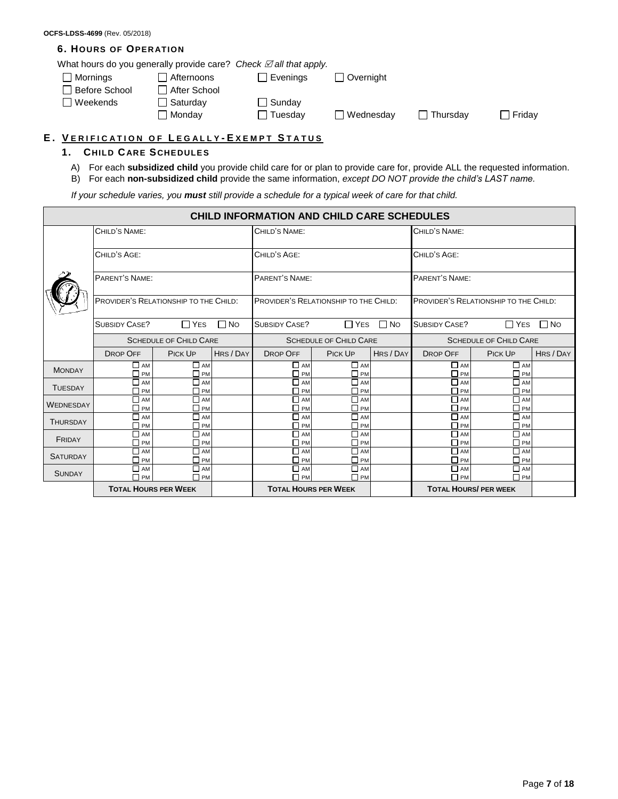# **6. HOURS OF OPER ATION**

|                 |                       | What hours do you generally provide care? Check $\mathbb Z$ all that apply. |           |
|-----------------|-----------------------|-----------------------------------------------------------------------------|-----------|
| l Mornings      | Ⅰ Afternoons          | Evenings                                                                    | Overnight |
| □ Before School | <b>■ After School</b> |                                                                             |           |

| <b>Neekends</b> |  |
|-----------------|--|

□ Weekends □ Saturday □ Sunday

| ̄l Mondav | $\Box$ Tuesday | J Wednesday | $\top$ Thursday | $\Box$ Friday |
|-----------|----------------|-------------|-----------------|---------------|
|-----------|----------------|-------------|-----------------|---------------|

# **E . V E R I F I C A T I O N O F L E G A L L Y - E X E M P T S T A T U S**

# **1. CHILD CARE SCHEDULES**

- A) For each **subsidized child** you provide child care for or plan to provide care for, provide ALL the requested information.
- B) For each **non-subsidized child** provide the same information, *except DO NOT provide the child's LAST name.*

*If your schedule varies, you must still provide a schedule for a typical week of care for that child.* 

|                 |                                       |                           |                                       | CHILD INFORMATION AND CHILD CARE SCHEDULES |                               |                                       |                              |                              |           |
|-----------------|---------------------------------------|---------------------------|---------------------------------------|--------------------------------------------|-------------------------------|---------------------------------------|------------------------------|------------------------------|-----------|
|                 | CHILD'S NAME:                         |                           |                                       | CHILD'S NAME:                              |                               | CHILD'S NAME:                         |                              |                              |           |
|                 | CHILD'S AGE:                          |                           |                                       | CHILD'S AGE:                               |                               |                                       | CHILD'S AGE:                 |                              |           |
|                 | PARENT'S NAME:                        |                           |                                       | PARENT'S NAME:                             |                               | PARENT'S NAME:                        |                              |                              |           |
|                 | PROVIDER'S RELATIONSHIP TO THE CHILD: |                           | PROVIDER'S RELATIONSHIP TO THE CHILD: |                                            |                               | PROVIDER'S RELATIONSHIP TO THE CHILD: |                              |                              |           |
|                 | <b>SUBSIDY CASE?</b>                  | $\Box$ YES                | $\Box$ No                             | <b>SUBSIDY CASE?</b>                       | $\Box$ Yes                    | $\square$ No                          | <b>SUBSIDY CASE?</b>         | $\Box$ Yes                   | $\Box$ No |
|                 | <b>SCHEDULE OF CHILD CARE</b>         |                           | <b>SCHEDULE OF CHILD CARE</b>         |                                            | <b>SCHEDULE OF CHILD CARE</b> |                                       |                              |                              |           |
|                 | <b>DROP OFF</b>                       | <b>PICK UP</b>            | HRS / DAY                             | <b>DROP OFF</b>                            | <b>PICK UP</b>                | HRS / DAY                             | <b>DROP OFF</b>              | PICK UP                      | HRS / DAY |
| <b>MONDAY</b>   | $\square$ AM<br>$\Box$ PM             | $\square$ AM<br>$\Box$ PM |                                       | $\square$ AM<br>$\Box$ PM                  | $\square$ AM<br>$\Box$ PM     |                                       | $\square$ AM<br>$\Box$ PM    | $\square$ AM<br>$\Box$ PM    |           |
| <b>TUESDAY</b>  | $\Box$ AM<br>$\square$ PM             | $\Box$ AM<br>$\Box$ PM    |                                       | $\square$ AM<br>$\Box$ PM                  | $\Box$ AM<br>$\Box$ PM        |                                       | $\Box$ am<br>$\Box$ PM       | $\Box$ AM<br>$\Box$ PM       |           |
| WEDNESDAY       | $\Box$ AM<br>$\square$ PM             | $\Box$ AM<br>$\square$ PM |                                       | $\square$ AM<br>$\Box$ PM                  | $\Box$ AM<br>$\Box$ PM        |                                       | $\Box$ AM<br>$\Box$ PM       | $\Box$ AM<br>$\square$ PM    |           |
| <b>THURSDAY</b> | $\square$ AM<br>$\Box$ PM             | $\Box$ AM<br>$\Box$ PM    |                                       | $\Box$ am<br>$\Box$ PM                     | $\Box$ AM<br>$\Box$ PM        |                                       | $\Box$ AM<br>$\Box$ PM       | $\Box$ AM<br>$\Box$ PM       |           |
| FRIDAY          | $\Box$ AM<br>$\Box$ PM                | $\square$ AM<br>$\Box$ PM |                                       | $\square$ AM<br>$\Box$ PM                  | $\Box$ AM<br>$\Box$ PM        |                                       | $\Box$ AM<br>$\Box$ PM       | $\Box$ AM<br>$\square$ PM    |           |
| <b>SATURDAY</b> | $\Box$ AM<br>$\square$ PM             | $\square$ AM<br>$\Box$ PM |                                       | $\square$ AM<br>$\square$ PM               | $\Box$ AM<br>$\square$ PM     |                                       | $\Box$ AM<br>$\Box$ PM       | $\Box$ AM<br>$\Box$ PM       |           |
| <b>SUNDAY</b>   | $\square$ AM<br>$\square$ PM          | $\square$ AM<br>$\Box$ PM |                                       | $\square$ AM<br>Прм                        | $\Box$ AM<br>$\Box$ PM        |                                       | $\Box$ AM<br>$\Box$ PM       | $\square$ AM<br>$\square$ PM |           |
|                 | <b>TOTAL HOURS PER WEEK</b>           |                           |                                       | <b>TOTAL HOURS PER WEEK</b>                |                               |                                       | <b>TOTAL HOURS/ PER WEEK</b> |                              |           |

#### **CHILD INFORMATION AND CHILD CARE SCHEDULES**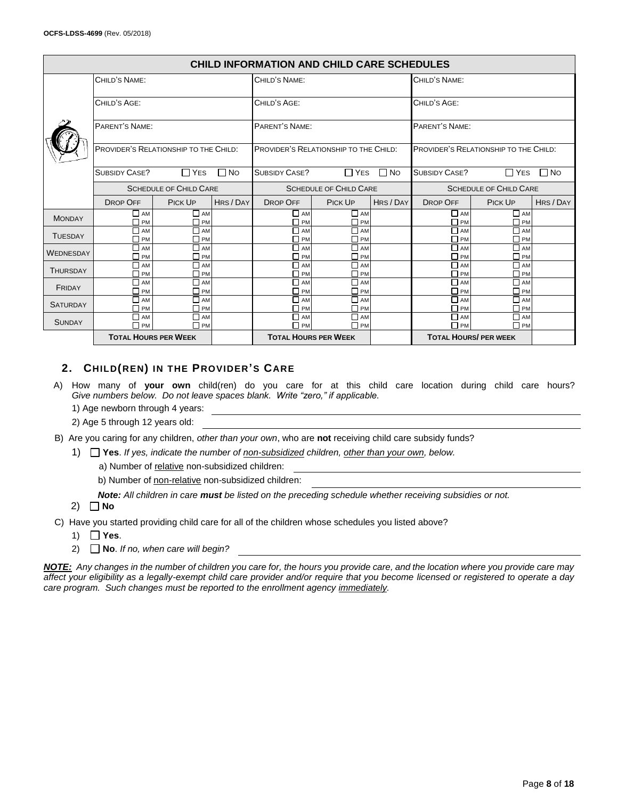| <b>CHILD INFORMATION AND CHILD CARE SCHEDULES</b> |                                       |                              |                                                                                |                              |                               |              |                              |                              |           |
|---------------------------------------------------|---------------------------------------|------------------------------|--------------------------------------------------------------------------------|------------------------------|-------------------------------|--------------|------------------------------|------------------------------|-----------|
|                                                   | CHILD'S NAME:                         |                              | CHILD'S NAME:                                                                  |                              | CHILD'S NAME:                 |              |                              |                              |           |
|                                                   | CHILD'S AGE:                          |                              |                                                                                | CHILD'S AGE:                 |                               | CHILD'S AGE: |                              |                              |           |
|                                                   | PARENT'S NAME:                        |                              | PARENT'S NAME:                                                                 |                              | PARENT'S NAME:                |              |                              |                              |           |
|                                                   | PROVIDER'S RELATIONSHIP TO THE CHILD: |                              | PROVIDER'S RELATIONSHIP TO THE CHILD:<br>PROVIDER'S RELATIONSHIP TO THE CHILD: |                              |                               |              |                              |                              |           |
|                                                   | <b>SUBSIDY CASE?</b>                  | $\Box$ Yes                   | $\Box$ No                                                                      | <b>SUBSIDY CASE?</b>         | $\Box$ Yes                    | $\Box$ No    | <b>SUBSIDY CASE?</b>         | $\Box$ Yes                   | $\Box$ No |
|                                                   | <b>SCHEDULE OF CHILD CARE</b>         |                              | <b>SCHEDULE OF CHILD CARE</b>                                                  |                              | <b>SCHEDULE OF CHILD CARE</b> |              |                              |                              |           |
|                                                   | <b>DROP OFF</b>                       | <b>PICK UP</b>               | HRS/DAY                                                                        | <b>DROP OFF</b>              | <b>PICK UP</b>                | HRS / DAY    | <b>DROP OFF</b>              | <b>PICK UP</b>               | HRS / DAY |
| <b>MONDAY</b>                                     | $\square$ AM<br>$\square$ PM          | $\square$ am<br>$\Box$ PM    |                                                                                | $\square$ am<br>□ РМ         | $\Box$ AM<br>$\Box$ PM        |              | $\square$ AM<br>$\Box$ PM    | $\square$ AM<br>$\Box$ PM    |           |
| <b>TUESDAY</b>                                    | $\square$ AM<br>$\Box$ PM             | $\square$ AM<br>$\sqcap$ pm  |                                                                                | $\square$ AM<br>Прм          | $\Box$ AM<br>$\Box$ PM        |              | $\square$ AM<br>$\Box$ PM    | $\Box$ AM<br>$\Box$ PM       |           |
| WEDNESDAY                                         | $\Box$ AM<br>$\Box$ PM                | $\square$ AM<br>$\square$ PM |                                                                                | $\Box$ AM<br>$\square$ PM    | $\Box$ am<br>$\Box$ PM        |              | $\Box$ am<br>$\Box$ PM       | $\Box$ AM<br>$\Box$ PM       |           |
| <b>THURSDAY</b>                                   | $\Box$ AM<br>$\Box$ PM                | $\Box$ AM<br>$\square$ PM    |                                                                                | $\square$ AM<br>$\square$ PM | $\Box$ AM<br>$\Box$ PM        |              | $\Box$ AM<br>$\square$ PM    | $\Box$ AM<br>$\Box$ PM       |           |
| FRIDAY                                            | $\Box$ AM<br>$\Box$ PM                | $\square$ AM<br>$\Box$ PM    |                                                                                | $\square$ AM<br>$\square$ PM | $\Box$ am<br>$\Box$ PM        |              | $\Box$ AM<br>$\Box$ PM       | $\square$ AM<br>$\Box$ PM    |           |
| <b>SATURDAY</b>                                   | $\Box$ AM<br>$\square$ PM             | $\square$ AM<br>$\Box$ PM    |                                                                                | $\square$ AM<br>$\square$ PM | $\square$ AM<br>$\square$ PM  |              | $\square$ AM<br>$\square$ PM | $\square$ AM<br>$\square$ PM |           |
| <b>SUNDAY</b>                                     | $\square$ AM<br>Прм                   | $\square$ AM<br>$\Box$ PM    |                                                                                | $\square$ AM<br>Прм          | $\square$ AM<br>$\Box$ PM     |              | $\Box$ AM<br>$\Box$ PM       | $\Box$ AM<br>$\Box$ PM       |           |
|                                                   | <b>TOTAL HOURS PER WEEK</b>           |                              |                                                                                | <b>TOTAL HOURS PER WEEK</b>  |                               |              | <b>TOTAL HOURS/ PER WEEK</b> |                              |           |

# **2. CHILD(REN) IN THE PROVIDER'S CARE**

- A) How many of **your own** child(ren) do you care for at this child care location during child care hours? *Give numbers below. Do not leave spaces blank. Write "zero," if applicable.*
	- 1) Age newborn through 4 years:
	- 2) Age 5 through 12 years old:
- B) Are you caring for any children, *other than your own*, who are **not** receiving child care subsidy funds?
	- 1) **Yes**. *If yes, indicate the number of non-subsidized children, other than your own, below.*
		- a) Number of relative non-subsidized children:
		- b) Number of non-relative non-subsidized children:

*Note: All children in care must be listed on the preceding schedule whether receiving subsidies or not.*

- 2) **No**
- C) Have you started providing child care for all of the children whose schedules you listed above?
	- 1) **Yes**.
	- 2) **No**. *If no, when care will begin?*

*NOTE: Any changes in the number of children you care for, the hours you provide care, and the location where you provide care may affect your eligibility as a legally-exempt child care provider and/or require that you become licensed or registered to operate a day care program. Such changes must be reported to the enrollment agency immediately.*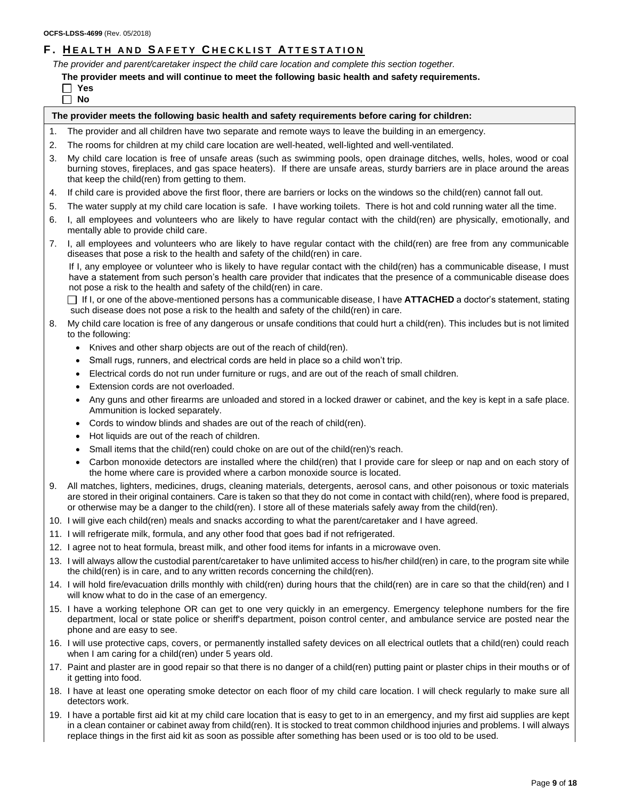# **F . H E A L T H A N D S A F E T Y C H E C K L I S T A T T E S T A T I O N**

*The provider and parent/caretaker inspect the child care location and complete this section together.* 

#### **The provider meets and will continue to meet the following basic health and safety requirements.**

| ٩ |
|---|
| ٠ |

#### **The provider meets the following basic health and safety requirements before caring for children:**

- 1. The provider and all children have two separate and remote ways to leave the building in an emergency.
- 2. The rooms for children at my child care location are well-heated, well-lighted and well-ventilated.
- 3. My child care location is free of unsafe areas (such as swimming pools, open drainage ditches, wells, holes, wood or coal burning stoves, fireplaces, and gas space heaters). If there are unsafe areas, sturdy barriers are in place around the areas that keep the child(ren) from getting to them.
- 4. If child care is provided above the first floor, there are barriers or locks on the windows so the child(ren) cannot fall out.
- 5. The water supply at my child care location is safe. I have working toilets. There is hot and cold running water all the time.
- 6. I, all employees and volunteers who are likely to have regular contact with the child(ren) are physically, emotionally, and mentally able to provide child care.
- 7. I, all employees and volunteers who are likely to have regular contact with the child(ren) are free from any communicable diseases that pose a risk to the health and safety of the child(ren) in care.

If I, any employee or volunteer who is likely to have regular contact with the child(ren) has a communicable disease, I must have a statement from such person's health care provider that indicates that the presence of a communicable disease does not pose a risk to the health and safety of the child(ren) in care.

If I, or one of the above-mentioned persons has a communicable disease, I have **ATTACHED** a doctor's statement, stating such disease does not pose a risk to the health and safety of the child(ren) in care.

#### 8. My child care location is free of any dangerous or unsafe conditions that could hurt a child(ren). This includes but is not limited to the following:

- Knives and other sharp objects are out of the reach of child(ren).
- Small rugs, runners, and electrical cords are held in place so a child won't trip.
- Electrical cords do not run under furniture or rugs, and are out of the reach of small children.
- Extension cords are not overloaded.
- Any guns and other firearms are unloaded and stored in a locked drawer or cabinet, and the key is kept in a safe place. Ammunition is locked separately.
- Cords to window blinds and shades are out of the reach of child(ren).
- Hot liquids are out of the reach of children.
- Small items that the child(ren) could choke on are out of the child(ren)'s reach.
- Carbon monoxide detectors are installed where the child(ren) that I provide care for sleep or nap and on each story of the home where care is provided where a carbon monoxide source is located.
- 9. All matches, lighters, medicines, drugs, cleaning materials, detergents, aerosol cans, and other poisonous or toxic materials are stored in their original containers. Care is taken so that they do not come in contact with child(ren), where food is prepared, or otherwise may be a danger to the child(ren). I store all of these materials safely away from the child(ren).
- 10. I will give each child(ren) meals and snacks according to what the parent/caretaker and I have agreed.
- 11. I will refrigerate milk, formula, and any other food that goes bad if not refrigerated.
- 12. I agree not to heat formula, breast milk, and other food items for infants in a microwave oven.
- 13. I will always allow the custodial parent/caretaker to have unlimited access to his/her child(ren) in care, to the program site while the child(ren) is in care, and to any written records concerning the child(ren).
- 14. I will hold fire/evacuation drills monthly with child(ren) during hours that the child(ren) are in care so that the child(ren) and I will know what to do in the case of an emergency.
- 15. I have a working telephone OR can get to one very quickly in an emergency. Emergency telephone numbers for the fire department, local or state police or sheriff's department, poison control center, and ambulance service are posted near the phone and are easy to see.
- 16. I will use protective caps, covers, or permanently installed safety devices on all electrical outlets that a child(ren) could reach when I am caring for a child(ren) under 5 years old.
- 17. Paint and plaster are in good repair so that there is no danger of a child(ren) putting paint or plaster chips in their mouths or of it getting into food.
- 18. I have at least one operating smoke detector on each floor of my child care location. I will check regularly to make sure all detectors work.
- 19. I have a portable first aid kit at my child care location that is easy to get to in an emergency, and my first aid supplies are kept in a clean container or cabinet away from child(ren). It is stocked to treat common childhood injuries and problems. I will always replace things in the first aid kit as soon as possible after something has been used or is too old to be used.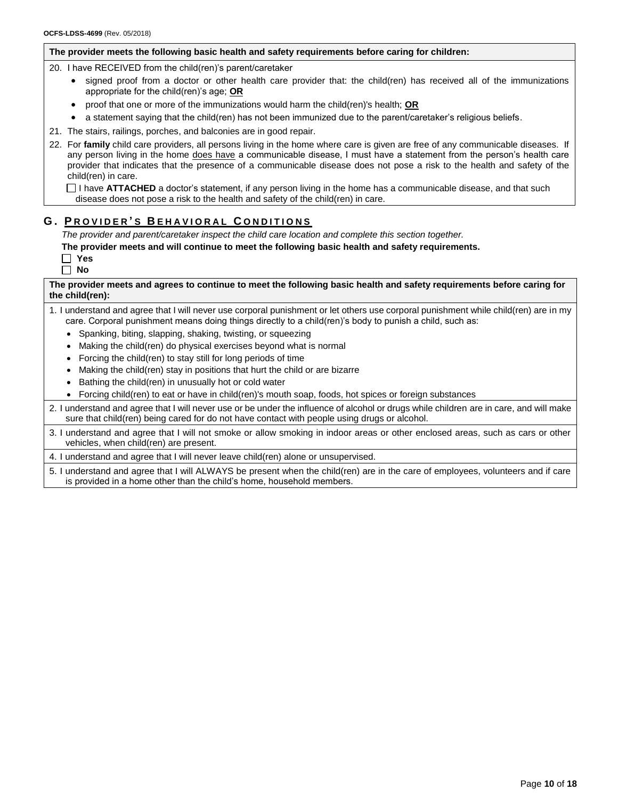#### **The provider meets the following basic health and safety requirements before caring for children:**

20. I have RECEIVED from the child(ren)'s parent/caretaker

- signed proof from a doctor or other health care provider that: the child(ren) has received all of the immunizations appropriate for the child(ren)'s age; **OR**
- proof that one or more of the immunizations would harm the child(ren)'s health; **OR**
- a statement saying that the child(ren) has not been immunized due to the parent/caretaker's religious beliefs.
- 21. The stairs, railings, porches, and balconies are in good repair.
- 22. For **family** child care providers, all persons living in the home where care is given are free of any communicable diseases. If any person living in the home does have a communicable disease, I must have a statement from the person's health care provider that indicates that the presence of a communicable disease does not pose a risk to the health and safety of the child(ren) in care.

□ I have **ATTACHED** a doctor's statement, if any person living in the home has a communicable disease, and that such disease does not pose a risk to the health and safety of the child(ren) in care.

# **G . P R O V I D E R ' S B E H A V I O R A L C O N D I T I O N S**

*The provider and parent/caretaker inspect the child care location and complete this section together.* 

**The provider meets and will continue to meet the following basic health and safety requirements.**

**Yes**

 $\Box$  **No** 

#### **The provider meets and agrees to continue to meet the following basic health and safety requirements before caring for the child(ren):**

1. I understand and agree that I will never use corporal punishment or let others use corporal punishment while child(ren) are in my care. Corporal punishment means doing things directly to a child(ren)'s body to punish a child, such as:

- Spanking, biting, slapping, shaking, twisting, or squeezing
- Making the child(ren) do physical exercises beyond what is normal
- Forcing the child(ren) to stay still for long periods of time
- Making the child(ren) stay in positions that hurt the child or are bizarre
- Bathing the child(ren) in unusually hot or cold water
- Forcing child(ren) to eat or have in child(ren)'s mouth soap, foods, hot spices or foreign substances

2. I understand and agree that I will never use or be under the influence of alcohol or drugs while children are in care, and will make sure that child(ren) being cared for do not have contact with people using drugs or alcohol.

3. I understand and agree that I will not smoke or allow smoking in indoor areas or other enclosed areas, such as cars or other vehicles, when child(ren) are present.

4. I understand and agree that I will never leave child(ren) alone or unsupervised.

5. I understand and agree that I will ALWAYS be present when the child(ren) are in the care of employees, volunteers and if care is provided in a home other than the child's home, household members.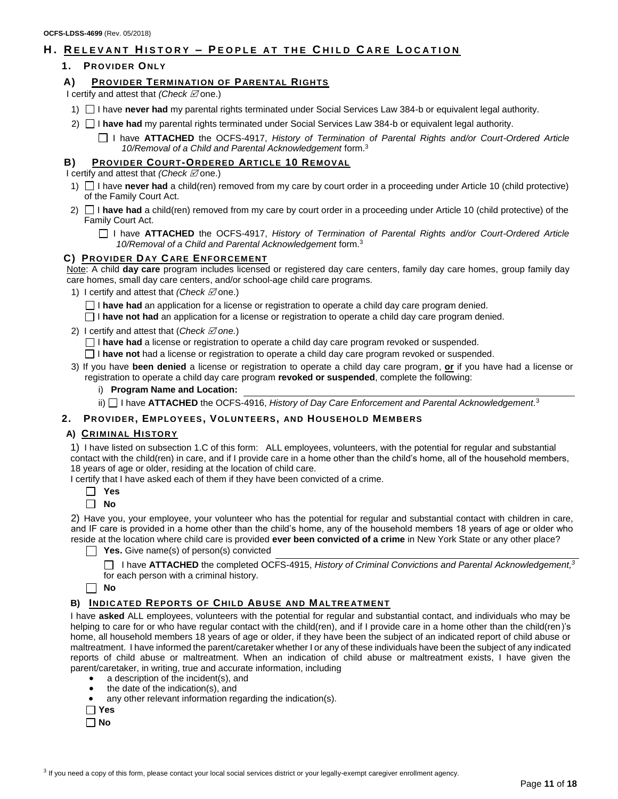# **H . R E L E V A N T H I S T O R Y – P E O P L E A T T H E C H I L D C A R E L O C A T I O N**

# **1. PROVIDER ONLY**

## **A) PROVIDER TERMINATI ON OF PARENTAL RIGHTS**

- I certify and attest that *(Check*  $\boxtimes$  one.)
- 1) I have **never had** my parental rights terminated under Social Services Law 384-b or equivalent legal authority.
- 2) I **have had** my parental rights terminated under Social Services Law 384-b or equivalent legal authority.
	- I have **ATTACHED** the OCFS-4917, *History of Termination of Parental Rights and/or Court-Ordered Article 10/Removal of a Child and Parental Acknowledgement* form. 3

## **B) PROVIDER COURT-ORDERED ARTICLE 10 REMOVAL**

I certify and attest that *(Check*  $\mathbb Z$  one.)

- 1) **I** have **never had** a child(ren) removed from my care by court order in a proceeding under Article 10 (child protective) of the Family Court Act.
- 2) **I have had** a child(ren) removed from my care by court order in a proceeding under Article 10 (child protective) of the Family Court Act.
	- I have **ATTACHED** the OCFS-4917, *History of Termination of Parental Rights and/or Court-Ordered Article 10/Removal of a Child and Parental Acknowledgement* form. 3

# **C) PROVIDER DAY CARE ENFORCEMENT**

Note: A child **day care** program includes licensed or registered day care centers, family day care homes, group family day care homes, small day care centers, and/or school-age child care programs.

1) I certify and attest that  $(Check \oslash one.)$ 

□ I have had an application for a license or registration to operate a child day care program denied.

I **have not had** an application for a license or registration to operate a child day care program denied.

2) I certify and attest that (*Check*  $\mathbb Z$  one.)

□ **have had** a license or registration to operate a child day care program revoked or suspended.

I **have not** had a license or registration to operate a child day care program revoked or suspended.

3) If you have **been denied** a license or registration to operate a child day care program, **or** if you have had a license or registration to operate a child day care program **revoked or suspended**, complete the following:

## i) **Program Name and Location:**

ii) □ I have ATTACHED the OCFS-4916, *History of Day Care Enforcement and Parental Acknowledgement*.<sup>3</sup>

## **2. PROVIDER, EMPLOYEES, VOLUNTEERS, AND HOUSEHOLD MEMBERS**

## **A) CRIMIN AL HISTORY**

1) I have listed on subsection 1.C of this form: ALL employees, volunteers, with the potential for regular and substantial contact with the child(ren) in care, and if I provide care in a home other than the child's home, all of the household members, 18 years of age or older, residing at the location of child care.

I certify that I have asked each of them if they have been convicted of a crime.

| w<br>۰.<br>٧ |
|--------------|
|              |

**No**

2) Have you, your employee, your volunteer who has the potential for regular and substantial contact with children in care, and IF care is provided in a home other than the child's home, any of the household members 18 years of age or older who reside at the location where child care is provided **ever been convicted of a crime** in New York State or any other place?

**Yes.** Give name(s) of person(s) convicted

I have **ATTACHED** the completed OCFS-4915, *History of Criminal Convictions and Parental Acknowledgement, 3* for each person with a criminal history.

**No**

## **B) INDI C ATED REPORTS OF CHILD ABUSE AND M ALTRE ATMENT**

I have **asked** ALL employees, volunteers with the potential for regular and substantial contact, and individuals who may be helping to care for or who have regular contact with the child(ren), and if I provide care in a home other than the child(ren)'s home, all household members 18 years of age or older, if they have been the subject of an indicated report of child abuse or maltreatment. I have informed the parent/caretaker whether I or any of these individuals have been the subject of any indicated reports of child abuse or maltreatment. When an indication of child abuse or maltreatment exists, I have given the parent/caretaker, in writing, true and accurate information, including

- a description of the incident(s), and
- the date of the indication(s), and
- any other relevant information regarding the indication(s).
- **Yes**
- **No**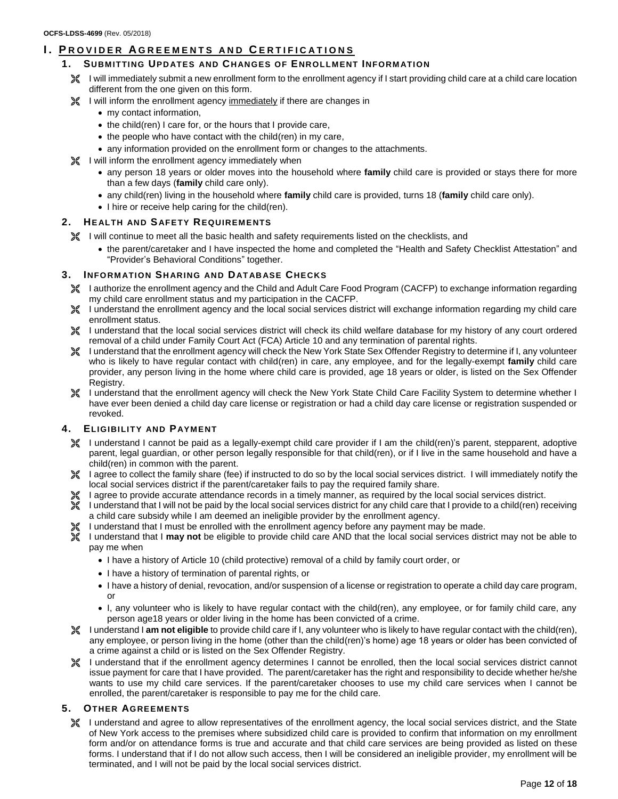# **I. PROVIDER AGREEMENTS AND CERTIFICATIONS**

## **1. SUBMITTING UPD ATES AND CH ANGES OF ENROLLMENT INFORM ATION**

- I will immediately submit a new enrollment form to the enrollment agency if I start providing child care at a child care location different from the one given on this form.
- I will inform the enrollment agency immediately if there are changes in
	- my contact information,
	- the child(ren) I care for, or the hours that I provide care,
	- the people who have contact with the child(ren) in my care,
	- any information provided on the enrollment form or changes to the attachments.
- **I** will inform the enrollment agency immediately when
	- any person 18 years or older moves into the household where **family** child care is provided or stays there for more than a few days (**family** child care only).
	- any child(ren) living in the household where **family** child care is provided, turns 18 (**family** child care only).
	- I hire or receive help caring for the child(ren).

## **2. HE ALTH AND SAFETY REQUIREMENTS**

- **I will continue to meet all the basic health and safety requirements listed on the checklists, and** 
	- the parent/caretaker and I have inspected the home and completed the "Health and Safety Checklist Attestation" and "Provider's Behavioral Conditions" together.

## **3. INFORM ATION SH ARING AND DAT AB ASE CHECKS**

- I authorize the enrollment agency and the Child and Adult Care Food Program (CACFP) to exchange information regarding my child care enrollment status and my participation in the CACFP.
- I understand the enrollment agency and the local social services district will exchange information regarding my child care enrollment status.
- I understand that the local social services district will check its child welfare database for my history of any court ordered removal of a child under Family Court Act (FCA) Article 10 and any termination of parental rights.
- I understand that the enrollment agency will check the New York State Sex Offender Registry to determine if I, any volunteer who is likely to have regular contact with child(ren) in care, any employee, and for the legally-exempt **family** child care provider, any person living in the home where child care is provided, age 18 years or older, is listed on the Sex Offender Registry.
- I understand that the enrollment agency will check the New York State Child Care Facility System to determine whether I have ever been denied a child day care license or registration or had a child day care license or registration suspended or revoked.

# **4. ELIGIBILI TY AND PAYMENT**

- I understand I cannot be paid as a legally-exempt child care provider if I am the child(ren)'s parent, stepparent, adoptive parent, legal guardian, or other person legally responsible for that child(ren), or if I live in the same household and have a child(ren) in common with the parent.
- I agree to collect the family share (fee) if instructed to do so by the local social services district. I will immediately notify the local social services district if the parent/caretaker fails to pay the required family share.
- I agree to provide accurate attendance records in a timely manner, as required by the local social services district.
- I understand that I will not be paid by the local social services district for any child care that I provide to a child(ren) receiving a child care subsidy while I am deemed an ineligible provider by the enrollment agency.
- I understand that I must be enrolled with the enrollment agency before any payment may be made.
- I understand that I **may not** be eligible to provide child care AND that the local social services district may not be able to pay me when
	- I have a history of Article 10 (child protective) removal of a child by family court order, or
	- I have a history of termination of parental rights, or
	- I have a history of denial, revocation, and/or suspension of a license or registration to operate a child day care program, or
	- I, any volunteer who is likely to have regular contact with the child(ren), any employee, or for family child care, any person age18 years or older living in the home has been convicted of a crime.
- I understand I **am not eligible** to provide child care if I, any volunteer who is likely to have regular contact with the child(ren), any employee, or person living in the home (other than the child(ren)'s home) age 18 years or older has been convicted of a crime against a child or is listed on the Sex Offender Registry.
- I understand that if the enrollment agency determines I cannot be enrolled, then the local social services district cannot issue payment for care that I have provided. The parent/caretaker has the right and responsibility to decide whether he/she wants to use my child care services. If the parent/caretaker chooses to use my child care services when I cannot be enrolled, the parent/caretaker is responsible to pay me for the child care.

# **5. OTHER AGREEMENTS**

 I understand and agree to allow representatives of the enrollment agency, the local social services district, and the State of New York access to the premises where subsidized child care is provided to confirm that information on my enrollment form and/or on attendance forms is true and accurate and that child care services are being provided as listed on these forms. I understand that if I do not allow such access, then I will be considered an ineligible provider, my enrollment will be terminated, and I will not be paid by the local social services district.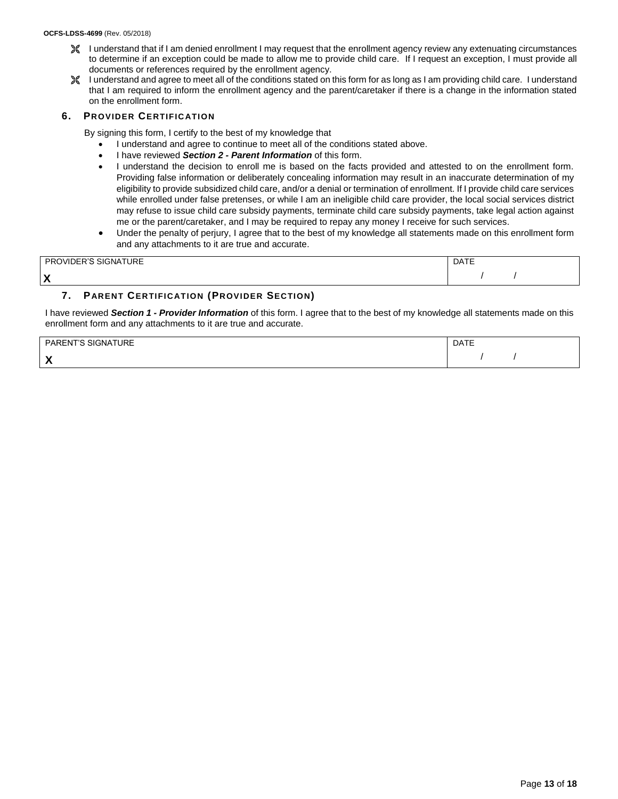#### **OCFS-LDSS-4699** (Rev. 05/2018)

- I understand that if I am denied enrollment I may request that the enrollment agency review any extenuating circumstances to determine if an exception could be made to allow me to provide child care. If I request an exception, I must provide all documents or references required by the enrollment agency.
- I understand and agree to meet all of the conditions stated on this form for as long as I am providing child care. I understand that I am required to inform the enrollment agency and the parent/caretaker if there is a change in the information stated on the enrollment form.

## **6. PROVIDER CERTIFIC ATI ON**

By signing this form, I certify to the best of my knowledge that

- I understand and agree to continue to meet all of the conditions stated above.
- I have reviewed *Section 2 - Parent Information* of this form.
- I understand the decision to enroll me is based on the facts provided and attested to on the enrollment form. Providing false information or deliberately concealing information may result in an inaccurate determination of my eligibility to provide subsidized child care, and/or a denial or termination of enrollment. If I provide child care services while enrolled under false pretenses, or while I am an ineligible child care provider, the local social services district may refuse to issue child care subsidy payments, terminate child care subsidy payments, take legal action against me or the parent/caretaker, and I may be required to repay any money I receive for such services.
- Under the penalty of perjury, I agree that to the best of my knowledge all statements made on this enrollment form and any attachments to it are true and accurate.

| SIGNATURE<br>$\mathbf{r}$<br>PRC<br>$\cdots$<br>OVIDER<br>$\overline{\phantom{0}}$ | <b>DATE</b> |
|------------------------------------------------------------------------------------|-------------|
| l sz<br>ת                                                                          |             |

## **7. PARENT CERTIFIC ATION (PROVIDER SECTION)**

I have reviewed *Section 1 - Provider Information* of this form. I agree that to the best of my knowledge all statements made on this enrollment form and any attachments to it are true and accurate.

| <b>PARENT'S SIGNATURE</b>    | <b>DATE</b> |
|------------------------------|-------------|
|                              |             |
| $\mathbf{v}$<br>$\mathbf{v}$ |             |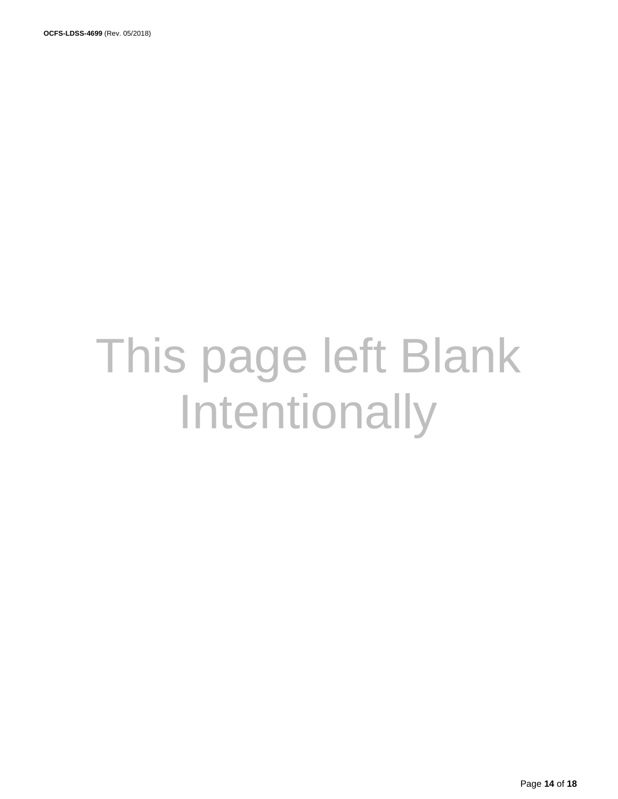# This page left Blank Intentionally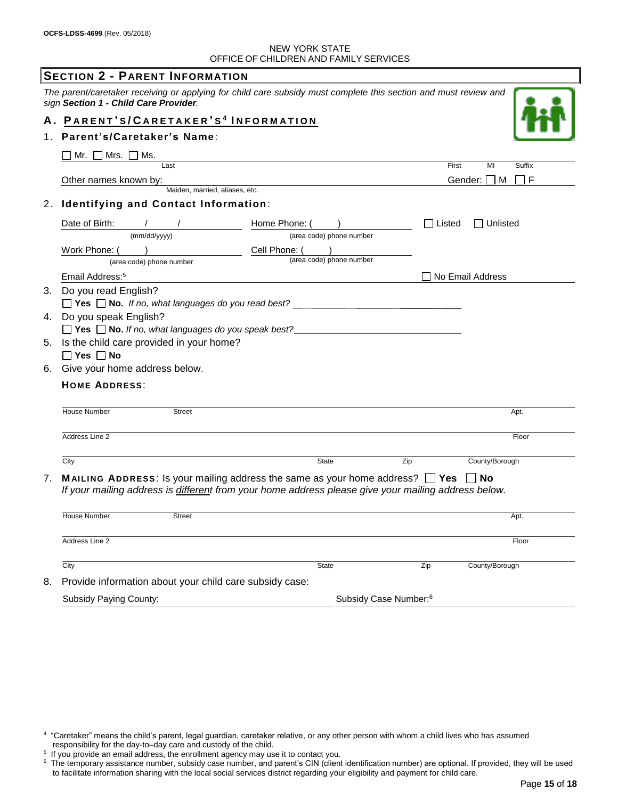## NEW YORK STATE OFFICE OF CHILDREN AND FAMILY SERVICES

|    | <b>SECTION 2 - PARENT INFORMATION</b>                                                                                                                                                                      |                                |                                   |               |                        |  |
|----|------------------------------------------------------------------------------------------------------------------------------------------------------------------------------------------------------------|--------------------------------|-----------------------------------|---------------|------------------------|--|
|    | The parent/caretaker receiving or applying for child care subsidy must complete this section and must review and<br>sign Section 1 - Child Care Provider.                                                  |                                |                                   |               |                        |  |
|    | A. PARENT'S/CARETAKER'S <sup>4</sup> INFORMATION                                                                                                                                                           |                                |                                   |               |                        |  |
| 1. | Parent's/Caretaker's Name:                                                                                                                                                                                 |                                |                                   |               |                        |  |
|    | Mr. $\Box$ Mrs. $\Box$ Ms.                                                                                                                                                                                 |                                |                                   |               |                        |  |
|    | Last                                                                                                                                                                                                       |                                |                                   | First         | Suffix<br>MI           |  |
|    | Other names known by:                                                                                                                                                                                      | Maiden, married, aliases, etc. |                                   |               | ΠF<br>Gender: $\Box$ M |  |
|    |                                                                                                                                                                                                            |                                |                                   |               |                        |  |
| 2. | <b>Identifying and Contact Information:</b>                                                                                                                                                                |                                |                                   |               |                        |  |
|    | Date of Birth:                                                                                                                                                                                             | Home Phone: (                  |                                   | $\Box$ Listed | Unlisted               |  |
|    | (mm/dd/yyyy)                                                                                                                                                                                               | (area code) phone number       |                                   |               |                        |  |
|    | Work Phone: (                                                                                                                                                                                              | Cell Phone: (                  |                                   |               |                        |  |
|    | (area code) phone number                                                                                                                                                                                   | (area code) phone number       |                                   |               |                        |  |
|    | Email Address: <sup>5</sup>                                                                                                                                                                                |                                |                                   |               | No Email Address       |  |
|    | 3. Do you read English?                                                                                                                                                                                    |                                |                                   |               |                        |  |
|    | $\Box$ Yes $\Box$ No. If no, what languages do you read best?                                                                                                                                              |                                |                                   |               |                        |  |
|    | 4. Do you speak English?                                                                                                                                                                                   |                                |                                   |               |                        |  |
|    | $\Box$ Yes $\Box$ No. If no, what languages do you speak best?                                                                                                                                             |                                |                                   |               |                        |  |
| 5. | Is the child care provided in your home?                                                                                                                                                                   |                                |                                   |               |                        |  |
|    | $\Box$ Yes $\Box$ No                                                                                                                                                                                       |                                |                                   |               |                        |  |
| 6. | Give your home address below.                                                                                                                                                                              |                                |                                   |               |                        |  |
|    | <b>HOME ADDRESS:</b>                                                                                                                                                                                       |                                |                                   |               |                        |  |
|    | House Number<br><b>Street</b>                                                                                                                                                                              |                                |                                   |               | Apt.                   |  |
|    | Address Line 2                                                                                                                                                                                             |                                |                                   |               | Floor                  |  |
|    | City                                                                                                                                                                                                       | <b>State</b>                   | Zip                               |               | County/Borough         |  |
| 7. | <b>MAILING ADDRESS:</b> Is your mailing address the same as your home address? $\Box$ Yes $\Box$ No<br>If your mailing address is different from your home address please give your mailing address below. |                                |                                   |               |                        |  |
|    | <b>House Number</b><br><b>Street</b>                                                                                                                                                                       |                                |                                   |               | Apt.                   |  |
|    | Address Line 2                                                                                                                                                                                             |                                |                                   |               | Floor                  |  |
|    | City                                                                                                                                                                                                       | <b>State</b>                   |                                   | Zip           | County/Borough         |  |
| 8. | Provide information about your child care subsidy case:                                                                                                                                                    |                                |                                   |               |                        |  |
|    | Subsidy Paying County:                                                                                                                                                                                     |                                | Subsidy Case Number: <sup>6</sup> |               |                        |  |

<sup>&</sup>lt;sup>4</sup> "Caretaker" means the child's parent, legal guardian, caretaker relative, or any other person with whom a child lives who has assumed responsibility for the day-to–day care and custody of the child.

<sup>&</sup>lt;sup>5</sup> If you provide an email address, the enrollment agency may use it to contact you.

 $6$  The temporary assistance number, subsidy case number, and parent's CIN (client identification number) are optional. If provided, they will be used to facilitate information sharing with the local social services district regarding your eligibility and payment for child care.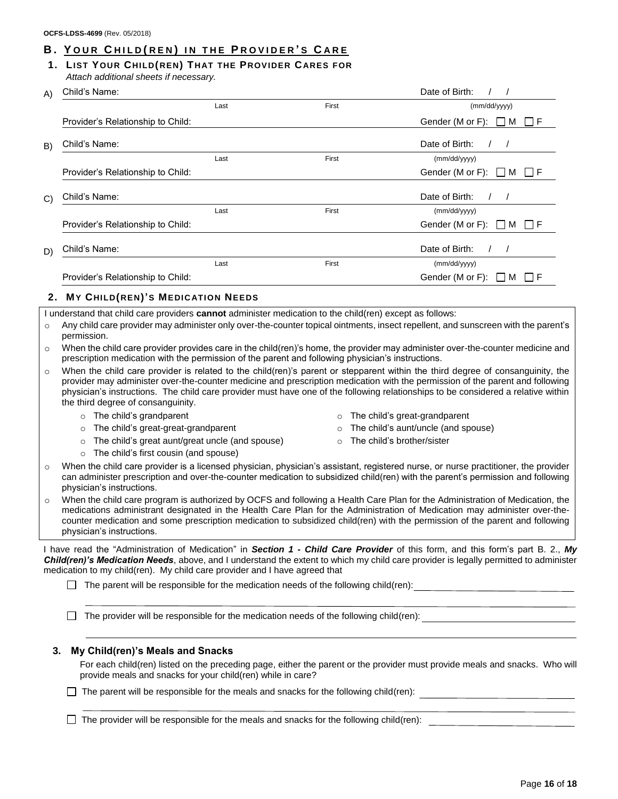# **B . Y O U R C H I L D ( R E N ) I N T H E P R O V I D E R ' S C A R E**

# **1. LIST YOUR CHILD(REN) THAT THE PROVIDER CARES FOR**

*Attach additional sheets if necessary.*

| $\mathsf{A}$ | Child's Name:                     |      |       | Date of Birth:                       |
|--------------|-----------------------------------|------|-------|--------------------------------------|
|              |                                   | Last | First | (mm/dd/yyyy)                         |
|              | Provider's Relationship to Child: |      |       | Gender (M or F): $\Box$ M<br>F       |
| B)           | Child's Name:                     |      |       | Date of Birth:                       |
|              |                                   | Last | First | (mm/dd/yyyy)                         |
|              | Provider's Relationship to Child: |      |       | Gender (M or F): $\Box$ M<br>I IF    |
| C)           | Child's Name:                     |      |       | Date of Birth:                       |
|              |                                   | Last | First | (mm/dd/yyyy)                         |
|              | Provider's Relationship to Child: |      |       | Gender (M or F): $\Box$ M<br>I IF    |
| D)           | Child's Name:                     |      |       | Date of Birth:                       |
|              |                                   | Last | First | (mm/dd/yyyy)                         |
|              | Provider's Relationship to Child: |      |       | Gender (M or F): $\Box$<br>l IF<br>M |
|              |                                   |      |       |                                      |

# **2. MY CHILD(REN)'S MEDIC ATION NEEDS**

I understand that child care providers **cannot** administer medication to the child(ren) except as follows:

- o Any child care provider may administer only over-the-counter topical ointments, insect repellent, and sunscreen with the parent's permission.
- o When the child care provider provides care in the child(ren)'s home, the provider may administer over-the-counter medicine and prescription medication with the permission of the parent and following physician's instructions.
- $\circ$  When the child care provider is related to the child(ren)'s parent or stepparent within the third degree of consanguinity, the provider may administer over-the-counter medicine and prescription medication with the permission of the parent and following physician's instructions. The child care provider must have one of the following relationships to be considered a relative within the third degree of consanguinity.
	-
	-
	- o The child's grandparent o The child's great-grandparent
	- o The child's great-great-grandparent on The child's aunt/uncle (and spouse)
	- $\circ$  The child's great aunt/great uncle (and spouse)  $\circ$  The child's brother/sister
	- o The child's first cousin (and spouse)
- 
- -
- o When the child care provider is a licensed physician, physician's assistant, registered nurse, or nurse practitioner, the provider can administer prescription and over-the-counter medication to subsidized child(ren) with the parent's permission and following physician's instructions.
- o When the child care program is authorized by OCFS and following a Health Care Plan for the Administration of Medication, the medications administrant designated in the Health Care Plan for the Administration of Medication may administer over-thecounter medication and some prescription medication to subsidized child(ren) with the permission of the parent and following physician's instructions.

I have read the "Administration of Medication" in *Section 1 - Child Care Provider* of this form, and this form's part B. 2., *My Child(ren)'s Medication Needs*, above, and I understand the extent to which my child care provider is legally permitted to administer medication to my child(ren). My child care provider and I have agreed that

 $\Box$  The parent will be responsible for the medication needs of the following child(ren):

 $\Box$  The provider will be responsible for the medication needs of the following child(ren):

# **3. My Child(ren)'s Meals and Snacks**

For each child(ren) listed on the preceding page, either the parent or the provider must provide meals and snacks. Who will provide meals and snacks for your child(ren) while in care?

 $\Box$  The parent will be responsible for the meals and snacks for the following child(ren):

 $\Box$  The provider will be responsible for the meals and snacks for the following child(ren):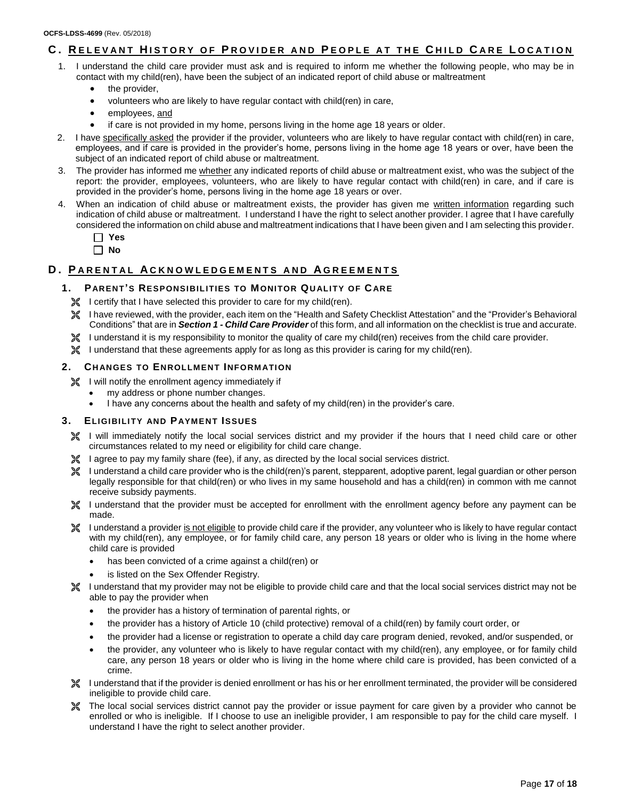# C. RELEVANT HISTORY OF PROVIDER AND PEOPLE AT THE CHILD CARE LOCATION

- 1. I understand the child care provider must ask and is required to inform me whether the following people, who may be in contact with my child(ren), have been the subject of an indicated report of child abuse or maltreatment
	- the provider,
	- volunteers who are likely to have regular contact with child(ren) in care,
	- employees, and
	- if care is not provided in my home, persons living in the home age 18 years or older.
- 2. I have specifically asked the provider if the provider, volunteers who are likely to have regular contact with child(ren) in care, employees, and if care is provided in the provider's home, persons living in the home age 18 years or over, have been the subject of an indicated report of child abuse or maltreatment.
- 3. The provider has informed me whether any indicated reports of child abuse or maltreatment exist, who was the subject of the report: the provider, employees, volunteers, who are likely to have regular contact with child(ren) in care, and if care is provided in the provider's home, persons living in the home age 18 years or over.
- 4. When an indication of child abuse or maltreatment exists, the provider has given me written information regarding such indication of child abuse or maltreatment. I understand I have the right to select another provider. I agree that I have carefully considered the information on child abuse and maltreatment indications that I have been given and I am selecting this provider.
	- **Yes**
	- **No**

# **D.** PARENTAL ACKNOWLEDGEMENTS AND AGREEMENTS

## **1. PARENT'S RESPONSIBILITIES TO MONI TOR QU ALITY OF CARE**

- I certify that I have selected this provider to care for my child(ren).
- I have reviewed, with the provider, each item on the "Health and Safety Checklist Attestation" and the "Provider's Behavioral Conditions" that are in *Section 1 - Child Care Provider* of this form, and all information on the checklist is true and accurate.
- I understand it is my responsibility to monitor the quality of care my child(ren) receives from the child care provider.
- I understand that these agreements apply for as long as this provider is caring for my child(ren).

# **2. CH ANGES TO ENROLLMENT INFORM ATI ON**

- I will notify the enrollment agency immediately if
	- my address or phone number changes.
		- I have any concerns about the health and safety of my child(ren) in the provider's care.

# **3. ELIGIBILI TY AND PAYMENT ISSUES**

- **If will immediately notify the local social services district and my provider if the hours that I need child care or other** circumstances related to my need or eligibility for child care change.
- I agree to pay my family share (fee), if any, as directed by the local social services district.
- I understand a child care provider who is the child(ren)'s parent, stepparent, adoptive parent, legal guardian or other person legally responsible for that child(ren) or who lives in my same household and has a child(ren) in common with me cannot receive subsidy payments.
- I understand that the provider must be accepted for enrollment with the enrollment agency before any payment can be made.
- I understand a provider is not eligible to provide child care if the provider, any volunteer who is likely to have regular contact with my child(ren), any employee, or for family child care, any person 18 years or older who is living in the home where child care is provided
	- has been convicted of a crime against a child(ren) or
	- is listed on the Sex Offender Registry.
- I understand that my provider may not be eligible to provide child care and that the local social services district may not be able to pay the provider when
	- the provider has a history of termination of parental rights, or
	- the provider has a history of Article 10 (child protective) removal of a child(ren) by family court order, or
	- the provider had a license or registration to operate a child day care program denied, revoked, and/or suspended, or
	- the provider, any volunteer who is likely to have regular contact with my child(ren), any employee, or for family child care, any person 18 years or older who is living in the home where child care is provided, has been convicted of a crime.
- I understand that if the provider is denied enrollment or has his or her enrollment terminated, the provider will be considered ineligible to provide child care.
- **X** The local social services district cannot pay the provider or issue payment for care given by a provider who cannot be enrolled or who is ineligible. If I choose to use an ineligible provider, I am responsible to pay for the child care myself. I understand I have the right to select another provider.